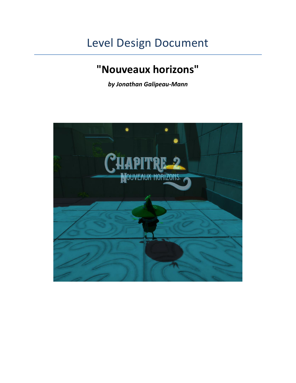# Level Design Document

# **"Nouveaux horizons"**

*by Jonathan Galipeau-Mann*

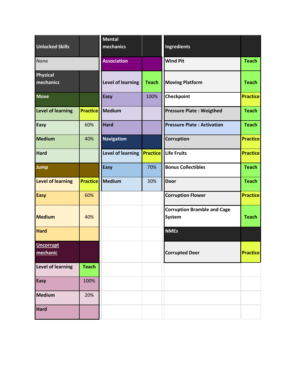| <b>Unlocked Skills</b>       |                 | <b>Mental</b><br>mechanics |                 | Ingredients                                         |                 |
|------------------------------|-----------------|----------------------------|-----------------|-----------------------------------------------------|-----------------|
| None                         |                 | <b>Association</b>         |                 | <b>Wind Pit</b>                                     | <b>Teach</b>    |
| <b>Physical</b><br>mechanics |                 | <b>Level of learning</b>   | <b>Teach</b>    | <b>Moving Platform</b>                              | <b>Teach</b>    |
| <b>Move</b>                  |                 | <b>Easy</b>                | 100%            | Checkpoint                                          | <b>Practice</b> |
| <b>Level of learning</b>     | <b>Practice</b> | Medium                     |                 | <b>Pressure Plate: Weigthed</b>                     | <b>Teach</b>    |
| <b>Easy</b>                  | 60%             | <b>Hard</b>                |                 | <b>Pressure Plate: Activation</b>                   | <b>Teach</b>    |
| Medium                       | 40%             | <b>Navigation</b>          |                 | Corruption                                          | <b>Practice</b> |
| <b>Hard</b>                  |                 | <b>Level of learning</b>   | <b>Practice</b> | Life Fruits                                         | <b>Practice</b> |
| Jump                         |                 | <b>Easy</b>                | 70%             | <b>Bonus Collectibles</b>                           | <b>Teach</b>    |
| <b>Level of learning</b>     | <b>Practice</b> | <b>Medium</b>              | 30%             | <b>Door</b>                                         | <b>Teach</b>    |
| <b>Easy</b>                  | 60%             |                            |                 | <b>Corruption Flower</b>                            | <b>Practice</b> |
| <b>Medium</b>                | 40%             |                            |                 | <b>Corruption Bramble and Cage</b><br><b>System</b> | <b>Teach</b>    |
| <b>Hard</b>                  |                 |                            |                 | <b>NMEs</b>                                         |                 |
| <b>Uncorrupt</b><br>mechanic |                 |                            |                 | <b>Corrupted Deer</b>                               | <b>Practice</b> |
| <b>Level of learning</b>     | <b>Teach</b>    |                            |                 |                                                     |                 |
| <b>Easy</b>                  | 100%            |                            |                 |                                                     |                 |
| <b>Medium</b>                | 20%             |                            |                 |                                                     |                 |
| Hard                         |                 |                            |                 |                                                     |                 |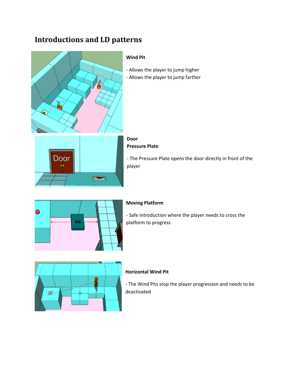### **Introductions and LD patterns**



- The Pressure Plate opens the door directly in front of the



### **Moving Platform**

- Safe introduction where the player needs to cross the platform to progress



#### **Horizontal Wind Pit**

- The Wind Pits stop the player progression and needs to be deactivated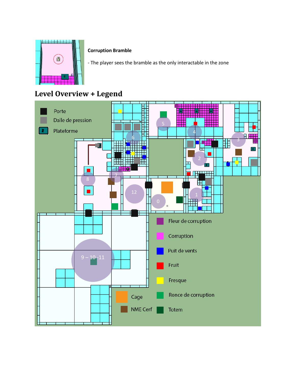

#### **Corruption Bramble**

- The player sees the bramble as the only interactable in the zone

## **Level Overview + Legend**

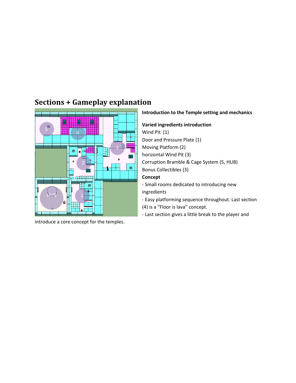

**Sections + Gameplay explanation**

introduce a core concept for the temples.

#### **Introduction to the Temple setting and mechanics**

**Varied ingredients introduction**

Wind Pit (1)

Door and Pressure Plate (1)

Moving Platform (2)

horizontal Wind Pit (3)

Corruption Bramble & Cage System (5, HUB)

Bonus Collectibles (3)

#### **Concept**

- Small rooms dedicated to introducing new ingredients

- Easy platforming sequence throughout. Last section (4) is a "Floor is lava" concept.

- Last section gives a little break to the player and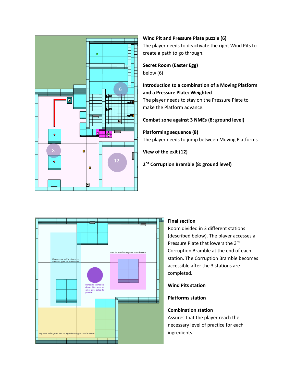

#### **Wind Pit and Pressure Plate puzzle (6)** The player needs to deactivate the right Wind Pits to create a path to go through.

#### **Secret Room (Easter Egg)** below (6)

#### **Introduction to a combination of a Moving Platform and a Pressure Plate: Weighted**

The player needs to stay on the Pressure Plate to make the Platform advance.

#### **Combat zone against 3 NMEs (8: ground level)**

#### **Platforming sequence (8)**

The player needs to jump between Moving Platforms

**View of the exit (12)**

**2 nd Corruption Bramble (8: ground level)**



#### **Final section**

Room divided in 3 different stations (described below). The player accesses a Pressure Plate that lowers the 3rd Corruption Bramble at the end of each station. The Corruption Bramble becomes accessible after the 3 stations are completed.

**Wind Pits station**

**Platforms station**

### **Combination station**

Assures that the player reach the necessary level of practice for each ingredients.